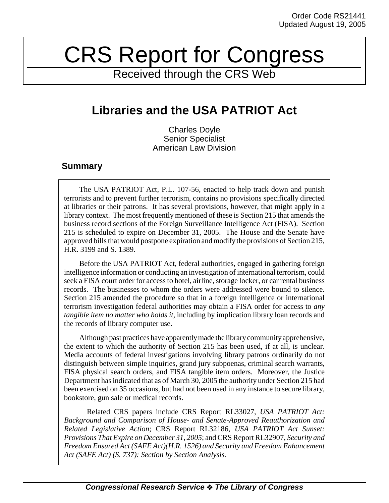## CRS Report for Congress

Received through the CRS Web

## **Libraries and the USA PATRIOT Act**

Charles Doyle Senior Specialist American Law Division

## **Summary**

The USA PATRIOT Act, P.L. 107-56, enacted to help track down and punish terrorists and to prevent further terrorism, contains no provisions specifically directed at libraries or their patrons. It has several provisions, however, that might apply in a library context. The most frequently mentioned of these is Section 215 that amends the business record sections of the Foreign Surveillance Intelligence Act (FISA). Section 215 is scheduled to expire on December 31, 2005. The House and the Senate have approved bills that would postpone expiration and modify the provisions of Section 215, H.R. 3199 and S. 1389.

Before the USA PATRIOT Act, federal authorities, engaged in gathering foreign intelligence information or conducting an investigation of international terrorism, could seek a FISA court order for access to hotel, airline, storage locker, or car rental business records. The businesses to whom the orders were addressed were bound to silence. Section 215 amended the procedure so that in a foreign intelligence or international terrorism investigation federal authorities may obtain a FISA order for access to *any tangible item no matter who holds it*, including by implication library loan records and the records of library computer use.

Although past practices have apparently made the library community apprehensive, the extent to which the authority of Section 215 has been used, if at all, is unclear. Media accounts of federal investigations involving library patrons ordinarily do not distinguish between simple inquiries, grand jury subpoenas, criminal search warrants, FISA physical search orders, and FISA tangible item orders. Moreover, the Justice Department has indicated that as of March 30, 2005 the authority under Section 215 had been exercised on 35 occasions, but had not been used in any instance to secure library, bookstore, gun sale or medical records.

 Related CRS papers include CRS Report RL33027, *USA PATRIOT Act: Background and Comparison of House- and Senate-Approved Reauthorization and Related Legislative Action*; CRS Report RL32186, *USA PATRIOT Act Sunset: Provisions That Expire on December 31, 2005*; and CRS Report RL32907, *Security and Freedom Ensured Act (SAFE Act)(H.R. 1526) and Security and Freedom Enhancement Act (SAFE Act) (S. 737): Section by Section Analysis.*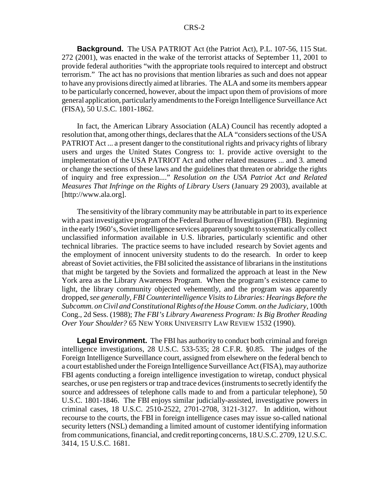**Background.** The USA PATRIOT Act (the Patriot Act), P.L. 107-56, 115 Stat. 272 (2001), was enacted in the wake of the terrorist attacks of September 11, 2001 to provide federal authorities "with the appropriate tools required to intercept and obstruct terrorism." The act has no provisions that mention libraries as such and does not appear to have any provisions directly aimed at libraries. The ALA and some its members appear to be particularly concerned, however, about the impact upon them of provisions of more general application, particularly amendments to the Foreign Intelligence Surveillance Act (FISA), 50 U.S.C. 1801-1862.

In fact, the American Library Association (ALA) Council has recently adopted a resolution that, among other things, declares that the ALA "considers sections of the USA PATRIOT Act ... a present danger to the constitutional rights and privacy rights of library users and urges the United States Congress to: 1. provide active oversight to the implementation of the USA PATRIOT Act and other related measures ... and 3. amend or change the sections of these laws and the guidelines that threaten or abridge the rights of inquiry and free expression...." *Resolution on the USA Patriot Act and Related Measures That Infringe on the Rights of Library Users* (January 29 2003), available at [http://www.ala.org].

The sensitivity of the library community may be attributable in part to its experience with a past investigative program of the Federal Bureau of Investigation (FBI). Beginning in the early 1960's, Soviet intelligence services apparently sought to systematically collect unclassified information available in U.S. libraries, particularly scientific and other technical libraries. The practice seems to have included research by Soviet agents and the employment of innocent university students to do the research. In order to keep abreast of Soviet activities, the FBI solicited the assistance of librarians in the institutions that might be targeted by the Soviets and formalized the approach at least in the New York area as the Library Awareness Program. When the program's existence came to light, the library community objected vehemently, and the program was apparently dropped, *see generally, FBI Counterintelligence Visits to Libraries: Hearings Before the Subcomm. on Civil and Constitutional Rights of the House Comm. on the Judiciary*, 100th Cong., 2d Sess. (1988); *The FBI's Library Awareness Program: Is Big Brother Reading Over Your Shoulder?* 65 NEW YORK UNIVERSITY LAW REVIEW 1532 (1990).

**Legal Environment.** The FBI has authority to conduct both criminal and foreign intelligence investigations, 28 U.S.C. 533-535; 28 C.F.R. §0.85. The judges of the Foreign Intelligence Surveillance court, assigned from elsewhere on the federal bench to a court established under the Foreign Intelligence Surveillance Act (FISA), may authorize FBI agents conducting a foreign intelligence investigation to wiretap, conduct physical searches, or use pen registers or trap and trace devices (instruments to secretly identify the source and addressees of telephone calls made to and from a particular telephone), 50 U.S.C. 1801-1846. The FBI enjoys similar judicially-assisted, investigative powers in criminal cases, 18 U.S.C. 2510-2522, 2701-2708, 3121-3127. In addition, without recourse to the courts, the FBI in foreign intelligence cases may issue so-called national security letters (NSL) demanding a limited amount of customer identifying information from communications, financial, and credit reporting concerns, 18 U.S.C. 2709, 12 U.S.C. 3414, 15 U.S.C. 1681.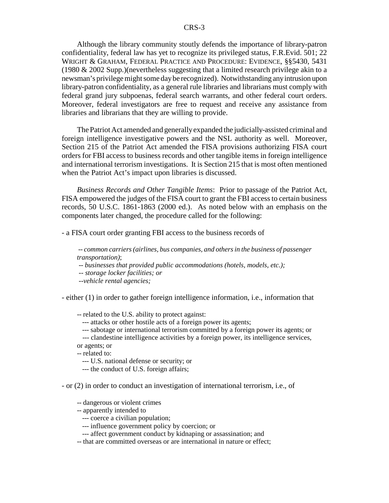Although the library community stoutly defends the importance of library-patron confidentiality, federal law has yet to recognize its privileged status, F.R.Evid. 501; 22 WRIGHT & GRAHAM, FEDERAL PRACTICE AND PROCEDURE: EVIDENCE, §§5430, 5431 (1980 & 2002 Supp.)(nevertheless suggesting that a limited research privilege akin to a newsman's privilege might some day be recognized). Notwithstanding any intrusion upon library-patron confidentiality, as a general rule libraries and librarians must comply with federal grand jury subpoenas, federal search warrants, and other federal court orders. Moreover, federal investigators are free to request and receive any assistance from libraries and librarians that they are willing to provide.

The Patriot Act amended and generally expanded the judicially-assisted criminal and foreign intelligence investigative powers and the NSL authority as well. Moreover, Section 215 of the Patriot Act amended the FISA provisions authorizing FISA court orders for FBI access to business records and other tangible items in foreign intelligence and international terrorism investigations. It is Section 215 that is most often mentioned when the Patriot Act's impact upon libraries is discussed.

*Business Records and Other Tangible Items*: Prior to passage of the Patriot Act, FISA empowered the judges of the FISA court to grant the FBI access to certain business records, 50 U.S.C. 1861-1863 (2000 ed.). As noted below with an emphasis on the components later changed, the procedure called for the following:

- a FISA court order granting FBI access to the business records of

 -- *common carriers (airlines, bus companies, and others in the business of passenger transportation)*;

-- *businesses that provided public accommodations (hotels, models, etc.);*

 *-- storage locker facilities; or*

 *--vehicle rental agencies;*

- either (1) in order to gather foreign intelligence information, i.e., information that

-- related to the U.S. ability to protect against:

--- attacks or other hostile acts of a foreign power its agents;

--- sabotage or international terrorism committed by a foreign power its agents; or

--- clandestine intelligence activities by a foreign power, its intelligence services,

or agents; or

-- related to:

- --- U.S. national defense or security; or
- --- the conduct of U.S. foreign affairs;

- or (2) in order to conduct an investigation of international terrorism, i.e., of

- -- dangerous or violent crimes
- -- apparently intended to
	- --- coerce a civilian population;
	- --- influence government policy by coercion; or
	- --- affect government conduct by kidnaping or assassination; and
- -- that are committed overseas or are international in nature or effect;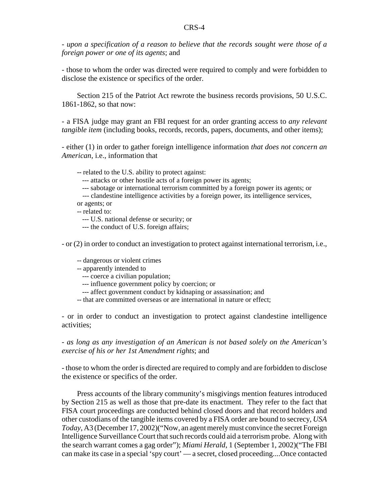- *upon a specification of a reason to believe that the records sought were those of a foreign power or one of its agents*; and

- those to whom the order was directed were required to comply and were forbidden to disclose the existence or specifics of the order.

Section 215 of the Patriot Act rewrote the business records provisions, 50 U.S.C. 1861-1862, so that now:

- a FISA judge may grant an FBI request for an order granting access to *any relevant tangible item* (including books, records, records, papers, documents, and other items);

- either (1) in order to gather foreign intelligence information *that does not concern an American*, i.e., information that

-- related to the U.S. ability to protect against:

--- attacks or other hostile acts of a foreign power its agents;

--- sabotage or international terrorism committed by a foreign power its agents; or

 --- clandestine intelligence activities by a foreign power, its intelligence services, or agents; or

-- related to:

--- U.S. national defense or security; or

--- the conduct of U.S. foreign affairs;

- or (2) in order to conduct an investigation to protect against international terrorism, i.e.,

-- dangerous or violent crimes

-- apparently intended to

--- coerce a civilian population;

--- influence government policy by coercion; or

--- affect government conduct by kidnaping or assassination; and

-- that are committed overseas or are international in nature or effect;

- or in order to conduct an investigation to protect against clandestine intelligence activities;

- *as long as any investigation of an American is not based solely on the American's exercise of his or her 1st Amendment rights*; and

- those to whom the order is directed are required to comply and are forbidden to disclose the existence or specifics of the order.

Press accounts of the library community's misgivings mention features introduced by Section 215 as well as those that pre-date its enactment. They refer to the fact that FISA court proceedings are conducted behind closed doors and that record holders and other custodians of the tangible items covered by a FISA order are bound to secrecy, *USA Today*, A3 (December 17, 2002)("Now, an agent merely must convince the secret Foreign Intelligence Surveillance Court that such records could aid a terrorism probe. Along with the search warrant comes a gag order"); *Miami Herald*, 1 (September 1, 2002)("The FBI can make its case in a special 'spy court' — a secret, closed proceeding....Once contacted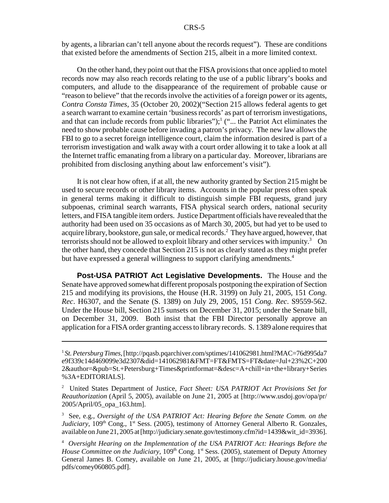by agents, a librarian can't tell anyone about the records request"). These are conditions that existed before the amendments of Section 215, albeit in a more limited context.

On the other hand, they point out that the FISA provisions that once applied to motel records now may also reach records relating to the use of a public library's books and computers, and allude to the disappearance of the requirement of probable cause or "reason to believe" that the records involve the activities of a foreign power or its agents, *Contra Consta Times*, 35 (October 20, 2002)("Section 215 allows federal agents to get a search warrant to examine certain 'business records' as part of terrorism investigations, and that can include records from public libraries");<sup>1</sup> ("... the Patriot Act eliminates the need to show probable cause before invading a patron's privacy. The new law allows the FBI to go to a secret foreign intelligence court, claim the information desired is part of a terrorism investigation and walk away with a court order allowing it to take a look at all the Internet traffic emanating from a library on a particular day. Moreover, librarians are prohibited from disclosing anything about law enforcement's visit").

It is not clear how often, if at all, the new authority granted by Section 215 might be used to secure records or other library items. Accounts in the popular press often speak in general terms making it difficult to distinguish simple FBI requests, grand jury subpoenas, criminal search warrants, FISA physical search orders, national security letters, and FISA tangible item orders. Justice Department officials have revealed that the authority had been used on 35 occasions as of March 30, 2005, but had yet to be used to acquire library, bookstore, gun sale, or medical records.<sup>2</sup> They have argued, however, that terrorists should not be allowed to exploit library and other services with impunity.<sup>3</sup> On the other hand, they concede that Section 215 is not as clearly stated as they might prefer but have expressed a general willingness to support clarifying amendments.<sup>4</sup>

**Post-USA PATRIOT Act Legislative Developments.** The House and the Senate have approved somewhat different proposals postponing the expiration of Section 215 and modifying its provisions, the House (H.R. 3199) on July 21, 2005, 151 *Cong. Rec*. H6307, and the Senate (S. 1389) on July 29, 2005, 151 *Cong. Rec*. S9559-562. Under the House bill, Section 215 sunsets on December 31, 2015; under the Senate bill, on December 31, 2009. Both insist that the FBI Director personally approve an application for a FISA order granting access to library records. S. 1389 alone requires that

<sup>1</sup> *St. Petersburg Times*, [http://pqasb.pqarchiver.com/sptimes/141062981.html?MAC=76d995da7 e9f339c14d469099e3d2307&did=141062981&FMT=FT&FMTS=FT&date=Jul+23%2C+200 2&author=&pub=St.+Petersburg+Times&printformat=&desc=A+chill+in+the+library+Series %3A+EDITORIALS].

<sup>2</sup> United States Department of Justice, *Fact Sheet: USA PATRIOT Act Provisions Set for Reauthorization* (April 5, 2005), available on June 21, 2005 at [http://www.usdoj.gov/opa/pr/ 2005/April/05\_opa\_163.htm].

<sup>3</sup> See, e.g., *Oversight of the USA PATRIOT Act: Hearing Before the Senate Comm. on the Judiciary*, 109<sup>th</sup> Cong., 1<sup>st</sup> Sess. (2005), testimony of Attorney General Alberto R. Gonzales, available on June 21, 2005 at [http://judiciary.senate.gov/testimony.cfm?id=1439&wit\_id=3936].

<sup>4</sup> *Oversight Hearing on the Implementation of the USA PATRIOT Act: Hearings Before the House Committee on the Judiciary*, 109<sup>th</sup> Cong. 1<sup>st</sup> Sess. (2005), statement of Deputy Attorney General James B. Comey, available on June 21, 2005, at [http://judiciary.house.gov/media/ pdfs/comey060805.pdf].